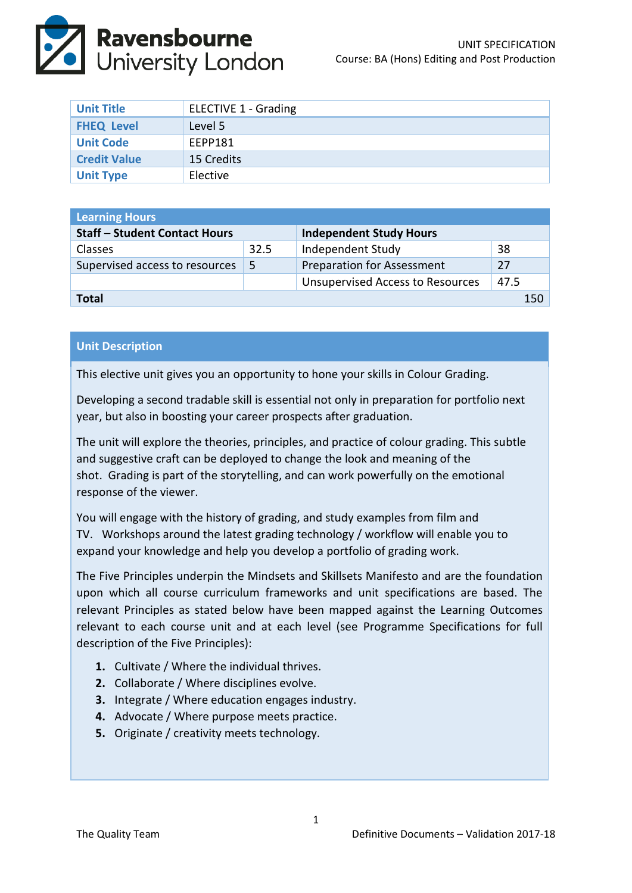

| <b>Unit Title</b>   | <b>ELECTIVE 1 - Grading</b> |
|---------------------|-----------------------------|
| <b>FHEQ Level</b>   | Level 5                     |
| <b>Unit Code</b>    | EEPP181                     |
| <b>Credit Value</b> | 15 Credits                  |
| <b>Unit Type</b>    | Elective                    |

| <b>Learning Hours</b>                |      |                                         |      |  |
|--------------------------------------|------|-----------------------------------------|------|--|
| <b>Staff - Student Contact Hours</b> |      | <b>Independent Study Hours</b>          |      |  |
| <b>Classes</b>                       | 32.5 | Independent Study                       | 38   |  |
| Supervised access to resources       | -5   | <b>Preparation for Assessment</b>       | 27   |  |
|                                      |      | <b>Unsupervised Access to Resources</b> | 47.5 |  |
| Total<br>150                         |      |                                         |      |  |

## **Unit Description**

This elective unit gives you an opportunity to hone your skills in Colour Grading.

Developing a second tradable skill is essential not only in preparation for portfolio next year, but also in boosting your career prospects after graduation.

The unit will explore the theories, principles, and practice of colour grading. This subtle and suggestive craft can be deployed to change the look and meaning of the shot. Grading is part of the storytelling, and can work powerfully on the emotional response of the viewer.

You will engage with the history of grading, and study examples from film and TV. Workshops around the latest grading technology / workflow will enable you to expand your knowledge and help you develop a portfolio of grading work.

The Five Principles underpin the Mindsets and Skillsets Manifesto and are the foundation upon which all course curriculum frameworks and unit specifications are based. The relevant Principles as stated below have been mapped against the Learning Outcomes relevant to each course unit and at each level (see Programme Specifications for full description of the Five Principles):

- **1.** Cultivate / Where the individual thrives.
- **2.** Collaborate / Where disciplines evolve.
- **3.** Integrate / Where education engages industry.
- **4.** Advocate / Where purpose meets practice.
- **5.** Originate / creativity meets technology.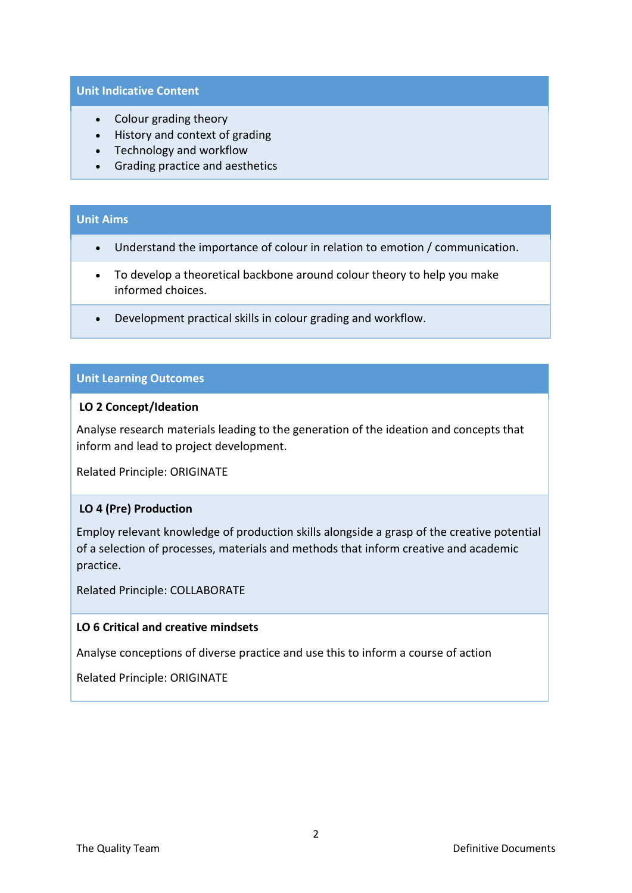#### **Unit Indicative Content**

- Colour grading theory
- History and context of grading
- Technology and workflow
- Grading practice and aesthetics

## **Unit Aims**

- Understand the importance of colour in relation to emotion / communication.
- To develop a theoretical backbone around colour theory to help you make informed choices.
- Development practical skills in colour grading and workflow.

## **Unit Learning Outcomes**

#### **LO 2 Concept/Ideation**

Analyse research materials leading to the generation of the ideation and concepts that inform and lead to project development.

Related Principle: ORIGINATE

## **LO 4 (Pre) Production**

Employ relevant knowledge of production skills alongside a grasp of the creative potential of a selection of processes, materials and methods that inform creative and academic practice.

Related Principle: COLLABORATE

## **LO 6 Critical and creative mindsets**

Analyse conceptions of diverse practice and use this to inform a course of action

Related Principle: ORIGINATE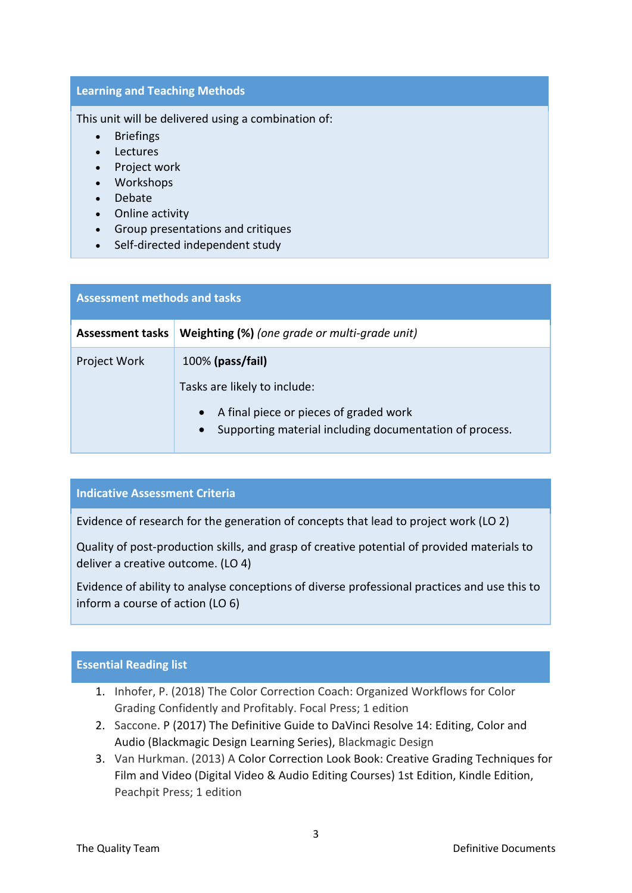## **Learning and Teaching Methods**

This unit will be delivered using a combination of:

- Briefings
- Lectures
- Project work
- Workshops
- Debate
- Online activity
- Group presentations and critiques
- Self-directed independent study

| <b>Assessment methods and tasks</b> |                                                                                                                |  |  |
|-------------------------------------|----------------------------------------------------------------------------------------------------------------|--|--|
| <b>Assessment tasks</b>             | Weighting (%) (one grade or multi-grade unit)                                                                  |  |  |
| Project Work                        | $100\%$ (pass/fail)                                                                                            |  |  |
|                                     | Tasks are likely to include:                                                                                   |  |  |
|                                     | A final piece or pieces of graded work<br>Supporting material including documentation of process.<br>$\bullet$ |  |  |

## **Indicative Assessment Criteria**

Evidence of research for the generation of concepts that lead to project work (LO 2)

Quality of post-production skills, and grasp of creative potential of provided materials to deliver a creative outcome. (LO 4)

Evidence of ability to analyse conceptions of diverse professional practices and use this to inform a course of action (LO 6)

# **Essential Reading list**

- 1. Inhofer, P. (2018) The Color Correction Coach: Organized Workflows for Color Grading Confidently and Profitably. Focal Press; 1 edition
- 2. Saccone. P (2017) The Definitive Guide to DaVinci Resolve 14: Editing, Color and Audio (Blackmagic Design Learning Series), Blackmagic Design
- 3. Van Hurkman. (2013) A Color Correction Look Book: Creative Grading Techniques for Film and Video (Digital Video & Audio Editing Courses) 1st Edition, Kindle Edition, Peachpit Press; 1 edition